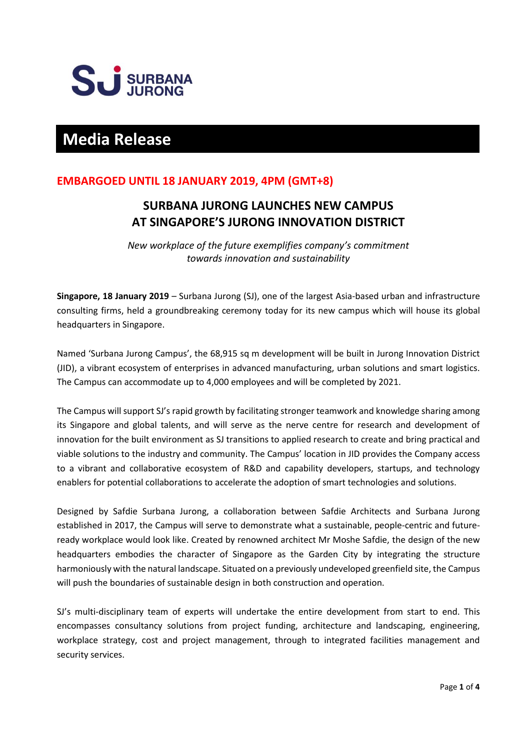

# **Media Release**

# **EMBARGOED UNTIL 18 JANUARY 2019, 4PM (GMT+8)**

# **SURBANA JURONG LAUNCHES NEW CAMPUS AT SINGAPORE'S JURONG INNOVATION DISTRICT**

*New workplace of the future exemplifies company's commitment towards innovation and sustainability*

**Singapore, 18 January 2019** – Surbana Jurong (SJ), one of the largest Asia-based urban and infrastructure consulting firms, held a groundbreaking ceremony today for its new campus which will house its global headquarters in Singapore.

Named 'Surbana Jurong Campus', the 68,915 sq m development will be built in Jurong Innovation District (JID), a vibrant ecosystem of enterprises in advanced manufacturing, urban solutions and smart logistics. The Campus can accommodate up to 4,000 employees and will be completed by 2021.

The Campus will support SJ's rapid growth by facilitating stronger teamwork and knowledge sharing among its Singapore and global talents, and will serve as the nerve centre for research and development of innovation for the built environment as SJ transitions to applied research to create and bring practical and viable solutions to the industry and community. The Campus' location in JID provides the Company access to a vibrant and collaborative ecosystem of R&D and capability developers, startups, and technology enablers for potential collaborations to accelerate the adoption of smart technologies and solutions.

Designed by Safdie Surbana Jurong, a collaboration between Safdie Architects and Surbana Jurong established in 2017, the Campus will serve to demonstrate what a sustainable, people-centric and futureready workplace would look like. Created by renowned architect Mr Moshe Safdie, the design of the new headquarters embodies the character of Singapore as the Garden City by integrating the structure harmoniously with the natural landscape. Situated on a previously undeveloped greenfield site, the Campus will push the boundaries of sustainable design in both construction and operation.

SJ's multi-disciplinary team of experts will undertake the entire development from start to end. This encompasses consultancy solutions from project funding, architecture and landscaping, engineering, workplace strategy, cost and project management, through to integrated facilities management and security services.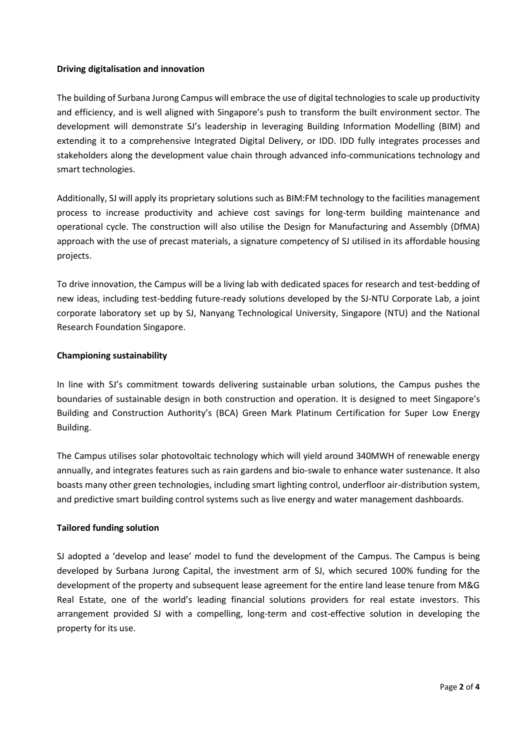## **Driving digitalisation and innovation**

The building of Surbana Jurong Campus will embrace the use of digital technologies to scale up productivity and efficiency, and is well aligned with Singapore's push to transform the built environment sector. The development will demonstrate SJ's leadership in leveraging Building Information Modelling (BIM) and extending it to a comprehensive Integrated Digital Delivery, or IDD. IDD fully integrates processes and stakeholders along the development value chain through advanced info-communications technology and smart technologies.

Additionally, SJ will apply its proprietary solutions such as BIM:FM technology to the facilities management process to increase productivity and achieve cost savings for long-term building maintenance and operational cycle. The construction will also utilise the Design for Manufacturing and Assembly (DfMA) approach with the use of precast materials, a signature competency of SJ utilised in its affordable housing projects.

To drive innovation, the Campus will be a living lab with dedicated spaces for research and test-bedding of new ideas, including test-bedding future-ready solutions developed by the SJ-NTU Corporate Lab, a joint corporate laboratory set up by SJ, Nanyang Technological University, Singapore (NTU) and the National Research Foundation Singapore.

# **Championing sustainability**

In line with SJ's commitment towards delivering sustainable urban solutions, the Campus pushes the boundaries of sustainable design in both construction and operation. It is designed to meet Singapore's Building and Construction Authority's (BCA) Green Mark Platinum Certification for Super Low Energy Building.

The Campus utilises solar photovoltaic technology which will yield around 340MWH of renewable energy annually, and integrates features such as rain gardens and bio-swale to enhance water sustenance. It also boasts many other green technologies, including smart lighting control, underfloor air-distribution system, and predictive smart building control systems such as live energy and water management dashboards.

## **Tailored funding solution**

SJ adopted a 'develop and lease' model to fund the development of the Campus. The Campus is being developed by Surbana Jurong Capital, the investment arm of SJ, which secured 100% funding for the development of the property and subsequent lease agreement for the entire land lease tenure from M&G Real Estate, one of the world's leading financial solutions providers for real estate investors. This arrangement provided SJ with a compelling, long-term and cost-effective solution in developing the property for its use.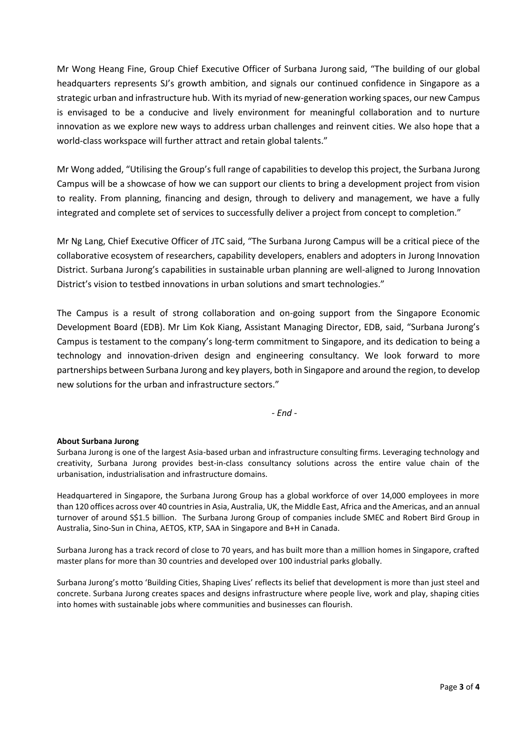Mr Wong Heang Fine, Group Chief Executive Officer of Surbana Jurong said, "The building of our global headquarters represents SJ's growth ambition, and signals our continued confidence in Singapore as a strategic urban and infrastructure hub. With its myriad of new-generation working spaces, our new Campus is envisaged to be a conducive and lively environment for meaningful collaboration and to nurture innovation as we explore new ways to address urban challenges and reinvent cities. We also hope that a world-class workspace will further attract and retain global talents."

Mr Wong added, "Utilising the Group's full range of capabilities to develop this project, the Surbana Jurong Campus will be a showcase of how we can support our clients to bring a development project from vision to reality. From planning, financing and design, through to delivery and management, we have a fully integrated and complete set of services to successfully deliver a project from concept to completion."

Mr Ng Lang, Chief Executive Officer of JTC said, "The Surbana Jurong Campus will be a critical piece of the collaborative ecosystem of researchers, capability developers, enablers and adopters in Jurong Innovation District. Surbana Jurong's capabilities in sustainable urban planning are well-aligned to Jurong Innovation District's vision to testbed innovations in urban solutions and smart technologies."

The Campus is a result of strong collaboration and on-going support from the Singapore Economic Development Board (EDB). Mr Lim Kok Kiang, Assistant Managing Director, EDB, said, "Surbana Jurong's Campus is testament to the company's long-term commitment to Singapore, and its dedication to being a technology and innovation-driven design and engineering consultancy. We look forward to more partnerships between Surbana Jurong and key players, both in Singapore and around the region, to develop new solutions for the urban and infrastructure sectors."

*- End -*

### **About Surbana Jurong**

Surbana Jurong is one of the largest Asia-based urban and infrastructure consulting firms. Leveraging technology and creativity, Surbana Jurong provides best-in-class consultancy solutions across the entire value chain of the urbanisation, industrialisation and infrastructure domains.

Headquartered in Singapore, the Surbana Jurong Group has a global workforce of over 14,000 employees in more than 120 offices across over 40 countries in Asia, Australia, UK, the Middle East, Africa and the Americas, and an annual turnover of around S\$1.5 billion. The Surbana Jurong Group of companies include SMEC and Robert Bird Group in Australia, Sino-Sun in China, AETOS, KTP, SAA in Singapore and B+H in Canada.

Surbana Jurong has a track record of close to 70 years, and has built more than a million homes in Singapore, crafted master plans for more than 30 countries and developed over 100 industrial parks globally.

Surbana Jurong's motto 'Building Cities, Shaping Lives' reflects its belief that development is more than just steel and concrete. Surbana Jurong creates spaces and designs infrastructure where people live, work and play, shaping cities into homes with sustainable jobs where communities and businesses can flourish.